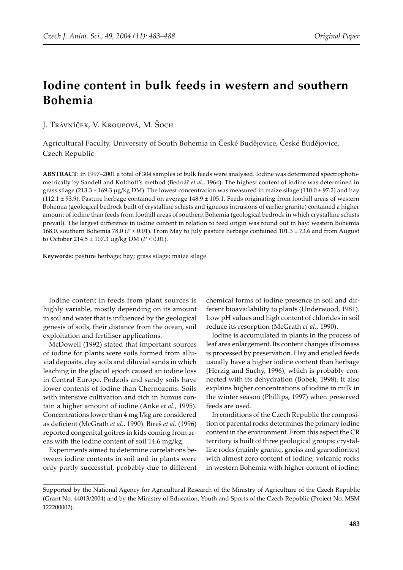# **Iodine content in bulk feeds in western and southern Bohemia**

J. Trávníček, V. Kroupová, M. Šoch

Agricultural Faculty, University of South Bohemia in České Budějovice, České Budějovice, Czech Republic

**ABSTRACT**: In 1997–2001 a total of 304 samples of bulk feeds were analysed. Iodine was determined spectrophotometrically by Sandell and Kolthoff's method (Bednář *et al*., 1964). The highest content of iodine was determined in grass silage (213.3  $\pm$  169.3 µg/kg DM). The lowest concentration was measured in maize silage (110.0  $\pm$  97.2) and hay  $(112.1 \pm 93.9)$ . Pasture herbage contained on average  $148.9 \pm 105.1$ . Feeds originating from foothill areas of western Bohemia (geological bedrock built of crystalline schists and igneous intrusions of earlier granite) contained a higher amount of iodine than feeds from foothill areas of southern Bohemia (geological bedrock in which crystalline schists prevail). The largest difference in iodine content in relation to feed origin was found out in hay: western Bohemia 168.0, southern Bohemia 78.0 (*P* < 0.01). From May to July pasture herbage contained 101.3 ± 73.6 and from August to October 214.5 ± 107.3 µg/kg DM (*P* < 0.01).

**Keywords**: pasture herbage; hay; grass silage; maize silage

Iodine content in feeds from plant sources is highly variable, mostly depending on its amount in soil and water that is influenced by the geological genesis of soils, their distance from the ocean, soil exploitation and fertiliser applications.

McDowell (1992) stated that important sources of iodine for plants were soils formed from alluvial deposits, clay soils and diluvial sands in which leaching in the glacial epoch caused an iodine loss in Central Europe. Podzols and sandy soils have lower contents of iodine than Chernozems. Soils with intensive cultivation and rich in humus contain a higher amount of iodine (Anke *et al*., 1995). Concentrations lower than 4 mg I/kg are considered as deficient (McGrath *et al*., 1990). Bíreš *et al*. (1996) reported congenital goitres in kids coming from areas with the iodine content of soil 14.6 mg/kg.

Experiments aimed to determine correlations between iodine contents in soil and in plants were only partly successful, probably due to different

chemical forms of iodine presence in soil and different bioavailability to plants (Underwood, 1981). Low pH values and high content of chlorides in soil reduce its resorption (McGrath *et al*., 1990).

Iodine is accumulated in plants in the process of leaf area enlargement. Its content changes if biomass is processed by preservation. Hay and ensiled feeds usually have a higher iodine content than herbage (Herzig and Suchý, 1996), which is probably connected with its dehydration (Bobek, 1998). It also explains higher concentrations of iodine in milk in the winter season (Phillips, 1997) when preserved feeds are used.

In conditions of the Czech Republic the composition of parental rocks determines the primary iodine content in the environment. From this aspect the CR territory is built of three geological groups: crystalline rocks (mainly granite, gneiss and granodiorites) with almost zero content of iodine; volcanic rocks in western Bohemia with higher content of iodine;

Supported by the National Agency for Agricultural Research of the Ministry of Agriculture of the Czech Republic (Grant No. 44013/2004) and by the Ministry of Education, Youth and Sports of the Czech Republic (Project No. MSM 122200002).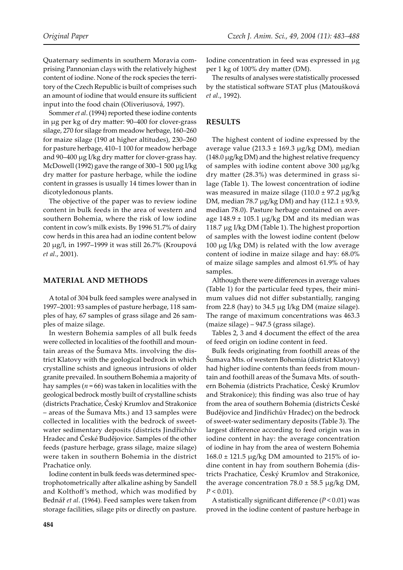Quaternary sediments in southern Moravia comprising Pannonian clays with the relatively highest content of iodine. None of the rock species the territory of the Czech Republic is built of comprises such an amount of iodine that would ensure its sufficient input into the food chain (Oliveriusová, 1997).

Sommer *et al*. (1994) reported these iodine contents in µg per kg of dry ma�er: 90–400 for clover-grass silage, 270 for silage from meadow herbage, 160–260 for maize silage (190 at higher altitudes), 230–260 for pasture herbage, 410–1 100 for meadow herbage and 90–400  $\mu$ g I/kg dry matter for clover-grass hay. McDowell (1992) gave the range of 300–1 500 µg I/kg dry matter for pasture herbage, while the iodine content in grasses is usually 14 times lower than in dicotyledonous plants.

The objective of the paper was to review iodine content in bulk feeds in the area of western and southern Bohemia, where the risk of low iodine content in cow's milk exists. By 1996 51.7% of dairy cow herds in this area had an iodine content below 20 µg/l, in 1997–1999 it was still 26.7% (Kroupová *et al*., 2001).

## **MATERIAL AND METHODS**

A total of 304 bulk feed samples were analysed in 1997–2001: 93 samples of pasture herbage, 118 samples of hay, 67 samples of grass silage and 26 samples of maize silage.

In western Bohemia samples of all bulk feeds were collected in localities of the foothill and mountain areas of the Šumava Mts. involving the district Klatovy with the geological bedrock in which crystalline schists and igneous intrusions of older granite prevailed. In southern Bohemia a majority of hay samples ( $n = 66$ ) was taken in localities with the geological bedrock mostly built of crystalline schists (districts Prachatice, Český Krumlov and Strakonice – areas of the Šumava Mts.) and 13 samples were collected in localities with the bedrock of sweetwater sedimentary deposits (districts Jindřichův Hradec and České Budějovice. Samples of the other feeds (pasture herbage, grass silage, maize silage) were taken in southern Bohemia in the district Prachatice only.

Iodine content in bulk feeds was determined spectrophotometrically after alkaline ashing by Sandell and Kolthoff's method, which was modified by Bednář *et al*. (1964). Feed samples were taken from storage facilities, silage pits or directly on pasture. Iodine concentration in feed was expressed in µg per 1 kg of 100% dry matter (DM).

The results of analyses were statistically processed by the statistical software STAT plus (Matoušková *et al*., 1992).

## **RESULTS**

The highest content of iodine expressed by the average value (213.3  $\pm$  169.3 µg/kg DM), median  $(148.0 \,\mu g/kg DM)$  and the highest relative frequency of samples with iodine content above 300 µg/kg dry matter (28.3%) was determined in grass silage (Table 1). The lowest concentration of iodine was measured in maize silage  $(110.0 \pm 97.2 \,\mu g/kg)$ DM, median 78.7  $\mu$ g/kg DM) and hay (112.1 ± 93.9, median 78.0). Pasture herbage contained on average  $148.9 \pm 105.1$  µg/kg DM and its median was 118.7 µg I/kg DM (Table 1). The highest proportion of samples with the lowest iodine content (below  $100 \mu g$  I/kg DM) is related with the low average content of iodine in maize silage and hay: 68.0% of maize silage samples and almost 61.9% of hay samples.

Although there were differences in average values (Table 1) for the particular feed types, their minimum values did not differ substantially, ranging from 22.8 (hay) to 34.5 µg I/kg DM (maize silage). The range of maximum concentrations was 463.3 (maize silage) – 947.5 (grass silage).

Tables 2, 3 and 4 document the effect of the area of feed origin on iodine content in feed.

Bulk feeds originating from foothill areas of the Šumava Mts. of western Bohemia (district Klatovy) had higher iodine contents than feeds from mountain and foothill areas of the Šumava Mts. of southern Bohemia (districts Prachatice, Český Krumlov and Strakonice); this finding was also true of hay from the area of southern Bohemia (districts České Budějovice and Jindřichův Hradec) on the bedrock of sweet-water sedimentary deposits (Table 3). The largest difference according to feed origin was in iodine content in hay: the average concentration of iodine in hay from the area of western Bohemia  $168.0 \pm 121.5$  µg/kg DM amounted to 215% of iodine content in hay from southern Bohemia (districts Prachatice, Český Krumlov and Strakonice, the average concentration  $78.0 \pm 58.5$  µg/kg DM,  $P < 0.01$ ).

A statistically significant difference (*P* < 0.01) was proved in the iodine content of pasture herbage in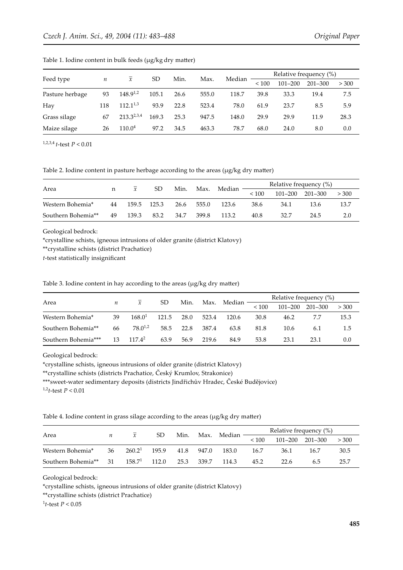| Feed type       |                  | $\mathcal{X}$      | SD    | Min. |       |        | Relative frequency (%) |                            |      |      |  |
|-----------------|------------------|--------------------|-------|------|-------|--------|------------------------|----------------------------|------|------|--|
|                 | $\boldsymbol{n}$ |                    |       |      | Max.  | Median | ${}_{< 100}$           | $201 - 300$<br>$101 - 200$ |      |      |  |
| Pasture herbage | 93               | $148.9^{1,2}$      | 105.1 | 26.6 | 555.0 | 118.7  | 39.8                   | 33.3                       | 19.4 | 7.5  |  |
| Hay             | 118              | $112.1^{1,3}$      | 93.9  | 22.8 | 523.4 | 78.0   | 61.9                   | 23.7                       | 8.5  | 5.9  |  |
| Grass silage    | 67               | $213.3^{2,3,4}$    | 169.3 | 25.3 | 947.5 | 148.0  | 29.9                   | 29.9                       | 11.9 | 28.3 |  |
| Maize silage    | 26               | 110.0 <sup>4</sup> | 97.2  | 34.5 | 463.3 | 78.7   | 68.0                   | 24.0                       | 8.0  | 0.0  |  |

Table 1. Iodine content in bulk feeds (µg/kg dry matter)

1,2,3,4 *t*-test *P* < 0.01

Table 2. Iodine content in pasture herbage according to the areas (µg/kg dry matter)

| Area               |    |       | SD    | Min. |       |        |              | Relative frequency (%) |      |      |  |
|--------------------|----|-------|-------|------|-------|--------|--------------|------------------------|------|------|--|
|                    | n  |       |       |      | Max.  | Median | ${}_{< 100}$ | 201–300<br>$101 - 200$ |      |      |  |
| Western Bohemia*   | 44 | 159.5 | 125.3 | 26.6 | 555.0 | 123.6  | 38.6         | 34.1                   | 13.6 | 13.7 |  |
| Southern Bohemia** | 49 | 139.3 | 83.2  | 34.7 | 399.8 | 113.2  | 40.8         | 32.7                   | 24.5 | 2.0  |  |

Geological bedrock:

\*crystalline schists, igneous intrusions of older granite (district Klatovy)

\*\*crystalline schists (district Prachatice)

*t*-test statistically insignificant

Table 3. Iodine content in hay according to the areas ( $\mu$ g/kg dry matter)

| Area                |    | $\mathcal{X}$       |       | Min. |       |             | Relative frequency (%) |             |             |       |  |
|---------------------|----|---------------------|-------|------|-------|-------------|------------------------|-------------|-------------|-------|--|
|                     | n  |                     | SD    |      |       | Max. Median | < 100                  | $101 - 200$ | $201 - 300$ | > 300 |  |
| Western Bohemia*    | 39 | 168.0 <sup>1</sup>  | 121.5 | 28.0 | 523.4 | 120.6       | 30.8                   | 46.2        |             | 15.3  |  |
| Southern Bohemia**  | 66 | 78.0 <sup>1,2</sup> | 58.5  | 22.8 | 387.4 | 63.8        | 81.8                   | 10.6        | 6.1         | 1.5   |  |
| Southern Bohemia*** | 13 | $117.4^2$           | 63.9  | 56.9 | 219.6 | 84.9        | 53.8                   | 23.1        | 23.1        | 0.0   |  |

Geological bedrock:

\*crystalline schists, igneous intrusions of older granite (district Klatovy)

\*\*crystalline schists (districts Prachatice, Český Krumlov, Strakonice)

\*\*\*sweet-water sedimentary deposits (districts Jindřichův Hradec, České Budějovice)

1,2*t*-test *P* < 0.01

Table 4. Iodine content in grass silage according to the areas (µg/kg dry matter)

| Area               |    |                    | SD.   | Min. | Max.  | Median |       |                          | Relative frequency (%) |      |
|--------------------|----|--------------------|-------|------|-------|--------|-------|--------------------------|------------------------|------|
|                    |    |                    |       |      |       |        | < 100 | 101-200 201-300<br>> 300 |                        |      |
| Western Bohemia*   | 36 | 260.2 <sup>1</sup> | 195.9 | 41.8 | 947.0 | 183.0  | 16.7  | 36.1                     | 16.7                   | 30.5 |
| Southern Bohemia** | 31 | $158.7^1$          | 112.0 | 25.3 | 339.7 | 114.3  | 45.2  | 22.6                     | 6.5                    | 25.7 |

Geological bedrock:

\*crystalline schists, igneous intrusions of older granite (district Klatovy)

\*\*crystalline schists (district Prachatice)

1 *t*-test *P* < 0.05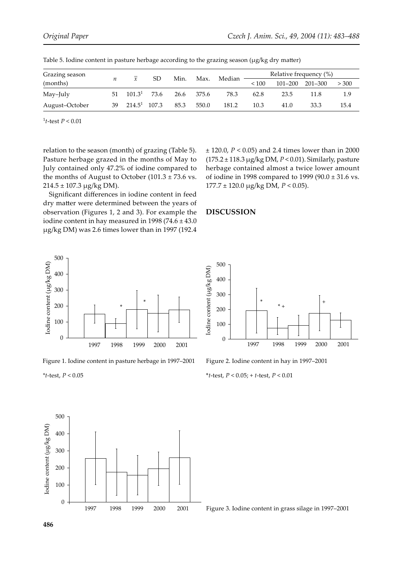| Grazing season<br>(months) |    | $\mathcal{X}$      | SD.  | Min. |       |        | Relative frequency (%) |             |         |       |  |
|----------------------------|----|--------------------|------|------|-------|--------|------------------------|-------------|---------|-------|--|
|                            |    |                    |      |      | Max.  | Median | < 100                  | $101 - 200$ | 201–300 | > 300 |  |
| May-July                   | 51 | 101.3 <sup>1</sup> | 73.6 | 26.6 | 375.6 | 78.3   | 62.8                   | 23.5        | 11.8    | 1.9   |  |
| August-October             | 39 | $214.5^1$ 107.3    |      | 85.3 | 550.0 | 181.2  | 10.3                   | 41.0        | 33.3    | 15.4  |  |

Table 5. Iodine content in pasture herbage according to the grazing season  $(\mu g/kg \, dry \, matter)$ 

1 *t*-test *P* < 0.01

relation to the season (month) of grazing (Table 5). Pasture herbage grazed in the months of May to July contained only 47.2% of iodine compared to the months of August to October  $(101.3 \pm 73.6 \text{ vs.})$  $214.5 \pm 107.3$  µg/kg DM).

Significant differences in iodine content in feed dry matter were determined between the years of observation (Figures 1, 2 and 3). For example the iodine content in hay measured in 1998 (74.6  $\pm$  43.0 µg/kg DM) was 2.6 times lower than in 1997 (192.4



\*  $*$  +  $+$  +  $+$ 

#### **DISCUSSION**



Figure 1. Iodine content in pasture herbage in 1997–2001



300

400

500

Figure 2. Iodine content in hay in 1997–2001

\**t*-test, *P* < 0.05; + *t*-test, *P* < 0.01



*\*t*-test, *P* < 0.05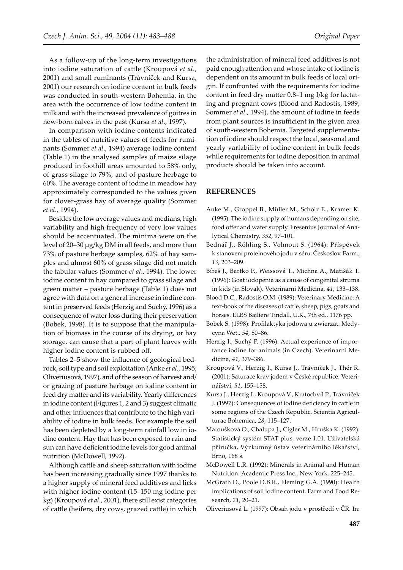As a follow-up of the long-term investigations into iodine saturation of ca�le (Kroupová *et al*., 2001) and small ruminants (Trávníček and Kursa, 2001) our research on iodine content in bulk feeds was conducted in south-western Bohemia, in the area with the occurrence of low iodine content in milk and with the increased prevalence of goitres in new-born calves in the past (Kursa *et al*., 1997).

In comparison with iodine contents indicated in the tables of nutritive values of feeds for ruminants (Sommer *et al*., 1994) average iodine content (Table 1) in the analysed samples of maize silage produced in foothill areas amounted to 58% only, of grass silage to 79%, and of pasture herbage to 60%. The average content of iodine in meadow hay approximately corresponded to the values given for clover-grass hay of average quality (Sommer *et al*., 1994).

Besides the low average values and medians, high variability and high frequency of very low values should be accentuated. The minima were on the level of 20–30 µg/kg DM in all feeds, and more than 73% of pasture herbage samples, 62% of hay samples and almost 60% of grass silage did not match the tabular values (Sommer *et al*., 1994). The lower iodine content in hay compared to grass silage and green ma�er – pasture herbage (Table 1) does not agree with data on a general increase in iodine content in preserved feeds (Herzig and Suchý, 1996) as a consequence of water loss during their preservation (Bobek, 1998). It is to suppose that the manipulation of biomass in the course of its drying, or hay storage, can cause that a part of plant leaves with higher iodine content is rubbed off.

Tables 2–5 show the influence of geological bedrock, soil type and soil exploitation (Anke *et al*., 1995; Oliveriusová, 1997), and of the season of harvest and/ or grazing of pasture herbage on iodine content in feed dry matter and its variability. Yearly differences in iodine content (Figures 1, 2 and 3) suggest climatic and other influences that contribute to the high variability of iodine in bulk feeds. For example the soil has been depleted by a long-term rainfall low in iodine content. Hay that has been exposed to rain and sun can have deficient iodine levels for good animal nutrition (McDowell, 1992).

Although cattle and sheep saturation with iodine has been increasing gradually since 1997 thanks to a higher supply of mineral feed additives and licks with higher iodine content (15–150 mg iodine per kg) (Kroupová *et al*., 2001), there still exist categories of cattle (heifers, dry cows, grazed cattle) in which

the administration of mineral feed additives is not paid enough attention and whose intake of iodine is dependent on its amount in bulk feeds of local origin. If confronted with the requirements for iodine content in feed dry matter 0.8–1 mg I/kg for lactating and pregnant cows (Blood and Radostis, 1989; Sommer *et al*., 1994), the amount of iodine in feeds from plant sources is insufficient in the given area of south-western Bohemia. Targeted supplementation of iodine should respect the local, seasonal and yearly variability of iodine content in bulk feeds while requirements for iodine deposition in animal products should be taken into account.

#### **REFERENCES**

- Anke M., Groppel B., Müller M., Scholz E., Kramer K. (1995): The iodine supply of humans depending on site, food offer and water supply. Fresenius Journal of Analytical Chemistry, *352*, 97–101.
- Bednář J., Röhling S., Vohnout S. (1964): Příspěvek k stanovení proteinového jodu v séru. Českoslov. Farm., *13*, 203–209.
- Bíreš J., Bartko P., Weissová T., Michna A., Matišák T. (1996): Goat iodopenia as a cause of congenital struma in kids (in Slovak). Veterinarni Medicina, *41*, 133–138.
- Blood D.C., Radostis O.M. (1989): Veterinary Medicine: A text-book of the diseases of cattle, sheep, pigs, goats and horses. ELBS Bailiere Tindall, U.K., 7th ed., 1176 pp.
- Bobek S. (1998): Profilaktyka jodowa u zwierzat. Medycyna Wet., *54*, 80–86.
- Herzig I., Suchý P. (1996): Actual experience of importance iodine for animals (in Czech). Veterinarni Medicina, *41*, 379–386.
- Kroupová V., Herzig I., Kursa J., Trávníček J., Thér R. (2001): Saturace krav jodem v České republice. Veterinářství, *51*, 155–158.
- Kursa J., Herzig I., Kroupová V., Kratochvíl P., Trávníček J. (1997): Consequences of iodine deficiency in cattle in some regions of the Czech Republic. Scientia Agriculturae Bohemica, *28*, 115–127.
- Matoušková O., Chalupa J., Cígler M., Hruška K. (1992): Statistický systém STAT plus, verze 1.01. Uživatelská příručka, Výzkumný ústav veterinárního lékařství, Brno, 168 s.
- McDowell L.R. (1992): Minerals in Animal and Human Nutrition. Academic Press Inc., New York. 225–245.
- McGrath D., Poole D.B.R., Fleming G.A. (1990): Health implications of soil iodine content. Farm and Food Research, *21*, 20–21.
- Oliveriusová L. (1997): Obsah jodu v prostředí v ČR. In: